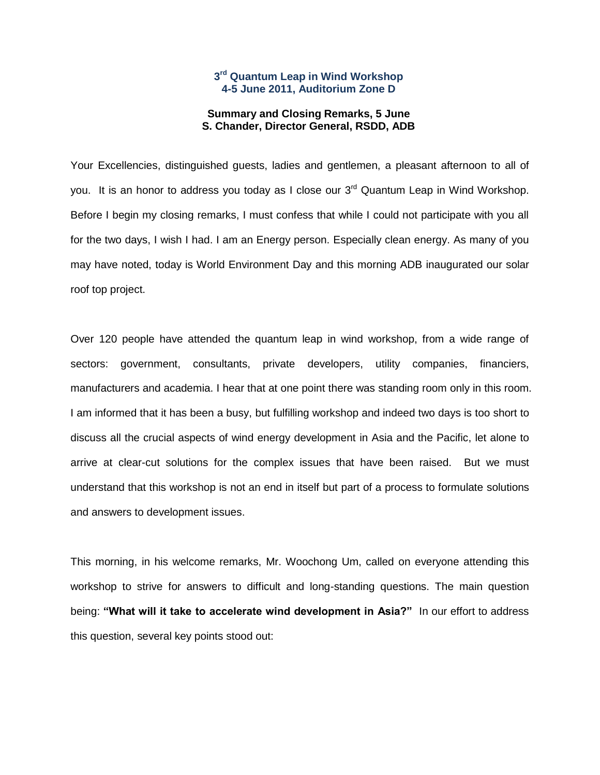## **3 rd Quantum Leap in Wind Workshop 4-5 June 2011, Auditorium Zone D**

## **Summary and Closing Remarks, 5 June S. Chander, Director General, RSDD, ADB**

Your Excellencies, distinguished guests, ladies and gentlemen, a pleasant afternoon to all of you. It is an honor to address you today as I close our 3<sup>rd</sup> Quantum Leap in Wind Workshop. Before I begin my closing remarks, I must confess that while I could not participate with you all for the two days, I wish I had. I am an Energy person. Especially clean energy. As many of you may have noted, today is World Environment Day and this morning ADB inaugurated our solar roof top project.

Over 120 people have attended the quantum leap in wind workshop, from a wide range of sectors: government, consultants, private developers, utility companies, financiers, manufacturers and academia. I hear that at one point there was standing room only in this room. I am informed that it has been a busy, but fulfilling workshop and indeed two days is too short to discuss all the crucial aspects of wind energy development in Asia and the Pacific, let alone to arrive at clear-cut solutions for the complex issues that have been raised. But we must understand that this workshop is not an end in itself but part of a process to formulate solutions and answers to development issues.

This morning, in his welcome remarks, Mr. Woochong Um, called on everyone attending this workshop to strive for answers to difficult and long-standing questions. The main question being: **"What will it take to accelerate wind development in Asia?"** In our effort to address this question, several key points stood out: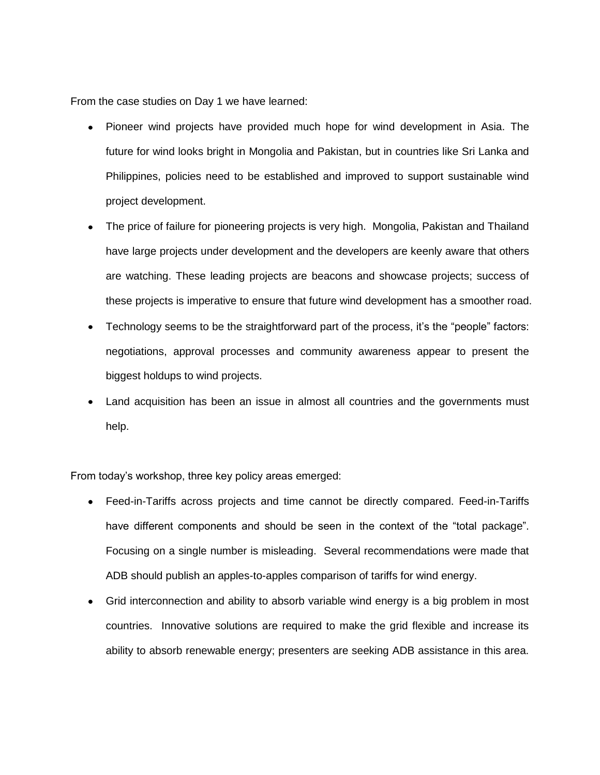From the case studies on Day 1 we have learned:

- Pioneer wind projects have provided much hope for wind development in Asia. The future for wind looks bright in Mongolia and Pakistan, but in countries like Sri Lanka and Philippines, policies need to be established and improved to support sustainable wind project development.
- The price of failure for pioneering projects is very high. Mongolia, Pakistan and Thailand have large projects under development and the developers are keenly aware that others are watching. These leading projects are beacons and showcase projects; success of these projects is imperative to ensure that future wind development has a smoother road.
- Technology seems to be the straightforward part of the process, it's the "people" factors: negotiations, approval processes and community awareness appear to present the biggest holdups to wind projects.
- Land acquisition has been an issue in almost all countries and the governments must help.

From today's workshop, three key policy areas emerged:

- Feed-in-Tariffs across projects and time cannot be directly compared. Feed-in-Tariffs have different components and should be seen in the context of the "total package". Focusing on a single number is misleading. Several recommendations were made that ADB should publish an apples-to-apples comparison of tariffs for wind energy.
- Grid interconnection and ability to absorb variable wind energy is a big problem in most countries. Innovative solutions are required to make the grid flexible and increase its ability to absorb renewable energy; presenters are seeking ADB assistance in this area.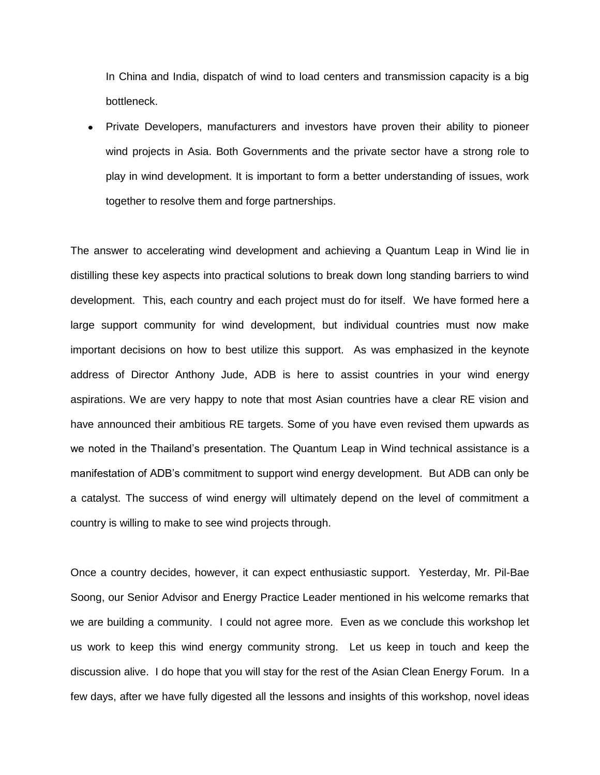In China and India, dispatch of wind to load centers and transmission capacity is a big bottleneck.

Private Developers, manufacturers and investors have proven their ability to pioneer wind projects in Asia. Both Governments and the private sector have a strong role to play in wind development. It is important to form a better understanding of issues, work together to resolve them and forge partnerships.

The answer to accelerating wind development and achieving a Quantum Leap in Wind lie in distilling these key aspects into practical solutions to break down long standing barriers to wind development. This, each country and each project must do for itself. We have formed here a large support community for wind development, but individual countries must now make important decisions on how to best utilize this support. As was emphasized in the keynote address of Director Anthony Jude, ADB is here to assist countries in your wind energy aspirations. We are very happy to note that most Asian countries have a clear RE vision and have announced their ambitious RE targets. Some of you have even revised them upwards as we noted in the Thailand's presentation. The Quantum Leap in Wind technical assistance is a manifestation of ADB's commitment to support wind energy development. But ADB can only be a catalyst. The success of wind energy will ultimately depend on the level of commitment a country is willing to make to see wind projects through.

Once a country decides, however, it can expect enthusiastic support. Yesterday, Mr. Pil-Bae Soong, our Senior Advisor and Energy Practice Leader mentioned in his welcome remarks that we are building a community. I could not agree more. Even as we conclude this workshop let us work to keep this wind energy community strong. Let us keep in touch and keep the discussion alive. I do hope that you will stay for the rest of the Asian Clean Energy Forum. In a few days, after we have fully digested all the lessons and insights of this workshop, novel ideas